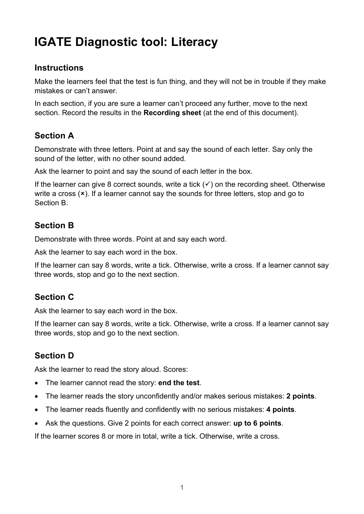# **IGATE Diagnostic tool: Literacy**

### **Instructions**

Make the learners feel that the test is fun thing, and they will not be in trouble if they make mistakes or can't answer.

In each section, if you are sure a learner can't proceed any further, move to the next section. Record the results in the **Recording sheet** (at the end of this document).

## **Section A**

Demonstrate with three letters. Point at and say the sound of each letter. Say only the sound of the letter, with no other sound added.

Ask the learner to point and say the sound of each letter in the box.

If the learner can give 8 correct sounds, write a tick  $(v)$  on the recording sheet. Otherwise write a cross  $(x)$ . If a learner cannot say the sounds for three letters, stop and go to Section B.

# **Section B**

Demonstrate with three words. Point at and say each word.

Ask the learner to say each word in the box.

If the learner can say 8 words, write a tick. Otherwise, write a cross. If a learner cannot say three words, stop and go to the next section.

# **Section C**

Ask the learner to say each word in the box.

If the learner can say 8 words, write a tick. Otherwise, write a cross. If a learner cannot say three words, stop and go to the next section.

## **Section D**

Ask the learner to read the story aloud. Scores:

- The learner cannot read the story: **end the test**.
- The learner reads the story unconfidently and/or makes serious mistakes: **2 points**.
- The learner reads fluently and confidently with no serious mistakes: **4 points**.
- Ask the questions. Give 2 points for each correct answer: **up to 6 points**.

If the learner scores 8 or more in total, write a tick. Otherwise, write a cross.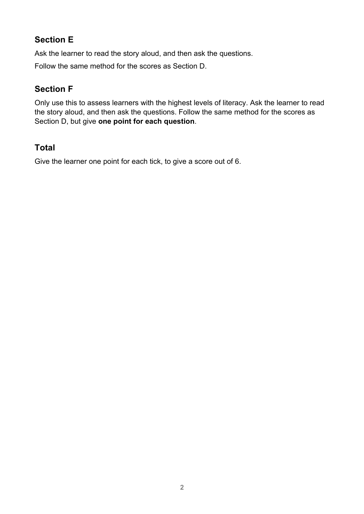Ask the learner to read the story aloud, and then ask the questions.

Follow the same method for the scores as Section D.

# **Section F**

Only use this to assess learners with the highest levels of literacy. Ask the learner to read the story aloud, and then ask the questions. Follow the same method for the scores as Section D, but give **one point for each question**.

# **Total**

Give the learner one point for each tick, to give a score out of 6.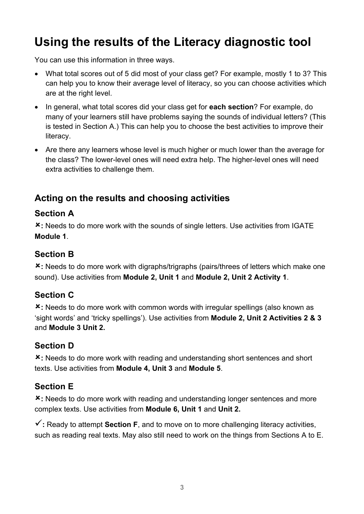# **Using the results of the Literacy diagnostic tool**

You can use this information in three ways.

- What total scores out of 5 did most of your class get? For example, mostly 1 to 3? This can help you to know their average level of literacy, so you can choose activities which are at the right level.
- In general, what total scores did your class get for **each section**? For example, do many of your learners still have problems saying the sounds of individual letters? (This is tested in Section A.) This can help you to choose the best activities to improve their literacy.
- Are there any learners whose level is much higher or much lower than the average for the class? The lower-level ones will need extra help. The higher-level ones will need extra activities to challenge them.

# **Acting on the results and choosing activities**

# **Section A**

û**:** Needs to do more work with the sounds of single letters. Use activities from IGATE **Module 1**.

# **Section B**

û**:** Needs to do more work with digraphs/trigraphs (pairs/threes of letters which make one sound). Use activities from **Module 2, Unit 1** and **Module 2, Unit 2 Activity 1**.

# **Section C**

û**:** Needs to do more work with common words with irregular spellings (also known as 'sight words' and 'tricky spellings'). Use activities from **Module 2, Unit 2 Activities 2 & 3** and **Module 3 Unit 2.**

## **Section D**

û**:** Needs to do more work with reading and understanding short sentences and short texts. Use activities from **Module 4, Unit 3** and **Module 5**.

## **Section E**

û**:** Needs to do more work with reading and understanding longer sentences and more complex texts. Use activities from **Module 6, Unit 1** and **Unit 2.**

 $\checkmark$ : Ready to attempt **Section F**, and to move on to more challenging literacy activities, such as reading real texts. May also still need to work on the things from Sections A to E.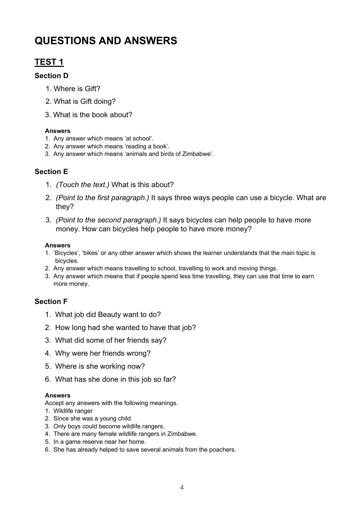# **QUESTIONS AND ANSWERS**

# **TEST 1**

#### **Section D**

- 1. Where is Gift?
- 2. What is Gift doing?
- 3. What is the book about?

#### **Answers**

- 1. Any answer which means 'at school'.
- 2. Any answer which means 'reading a book'.
- 3. Any answer which means 'animals and birds of Zimbabwe'.

#### **Section E**

- 1. *(Touch the text.)* What is this about?
- 2. *(Point to the first paragraph.)* It says three ways people can use a bicycle. What are they?
- 3. *(Point to the second paragraph.)* It says bicycles can help people to have more money. How can bicycles help people to have more money?

#### **Answers**

- 1. 'Bicycles', 'bikes' or any other answer which shows the learner understands that the main topic is bicycles.
- 2. Any answer which means travelling to school, travelling to work and moving things.
- 3. Any answer which means that if people spend less time travelling, they can use that time to earn more money.

#### **Section F**

- 1. What job did Beauty want to do?
- 2. How long had she wanted to have that job?
- 3. What did some of her friends say?
- 4. Why were her friends wrong?
- 5. Where is she working now?
- 6. What has she done in this job so far?

#### **Answers**

Accept any answers with the following meanings.

- 1. Wildlife ranger
- 2. Since she was a young child.
- 3. Only boys could become wildlife rangers.
- 4. There are many female wildlife rangers in Zimbabwe.
- 5. In a game reserve near her home.
- 6. She has already helped to save several animals from the poachers.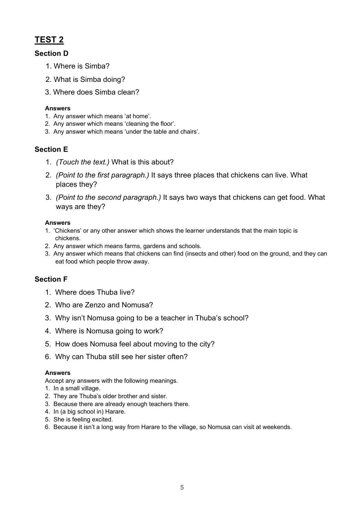# **TEST 2**

#### **Section D**

- 1. Where is Simba?
- 2. What is Simba doing?
- 3. Where does Simba clean?

#### **Answers**

- 1. Any answer which means 'at home'.
- 2. Any answer which means 'cleaning the floor'.
- 3. Any answer which means 'under the table and chairs'.

#### **Section E**

- 1. *(Touch the text.)* What is this about?
- 2. *(Point to the first paragraph.)* It says three places that chickens can live. What places they?
- 3. *(Point to the second paragraph.)* It says two ways that chickens can get food. What ways are they?

#### **Answers**

- 1. 'Chickens' or any other answer which shows the learner understands that the main topic is chickens.
- 2. Any answer which means farms, gardens and schools.
- 3. Any answer which means that chickens can find (insects and other) food on the ground, and they can eat food which people throw away.

#### **Section F**

- 1. Where does Thuba live?
- 2. Who are Zenzo and Nomusa?
- 3. Why isn't Nomusa going to be a teacher in Thuba's school?
- 4. Where is Nomusa going to work?
- 5. How does Nomusa feel about moving to the city?
- 6. Why can Thuba still see her sister often?

#### **Answers**

Accept any answers with the following meanings.

- 1. In a small village.
- 2. They are Thuba's older brother and sister.
- 3. Because there are already enough teachers there.
- 4. In (a big school in) Harare.
- 5. She is feeling excited.
- 6. Because it isn't a long way from Harare to the village, so Nomusa can visit at weekends.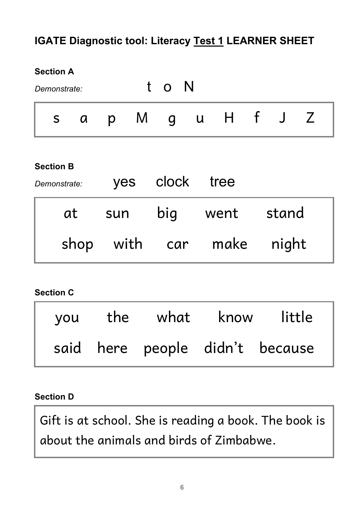# **IGATE Diagnostic tool: Literacy Test 1 LEARNER SHEET**

# **Section A** *Demonstrate:* to N s a p M g u H f J Z **Section B** *Demonstrate:* yes clock tree at sun big went stand shop with car make night **Section C**

|  | you the what know little |                                 |
|--|--------------------------|---------------------------------|
|  |                          | said here people didn't because |

# **Section D**

Gift is at school. She is reading a book. The book is about the animals and birds of Zimbabwe.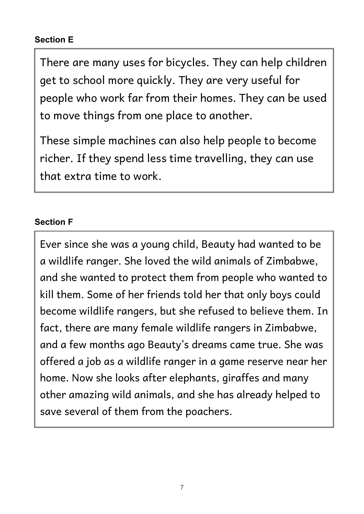There are many uses for bicycles. They can help children get to school more quickly. They are very useful for people who work far from their homes. They can be used to move things from one place to another.

These simple machines can also help people to become richer. If they spend less time travelling, they can use that extra time to work.

# **Section F**

Ever since she was a young child, Beauty had wanted to be a wildlife ranger. She loved the wild animals of Zimbabwe, and she wanted to protect them from people who wanted to kill them. Some of her friends told her that only boys could become wildlife rangers, but she refused to believe them. In fact, there are many female wildlife rangers in Zimbabwe, and a few months ago Beauty's dreams came true. She was offered a job as a wildlife ranger in a game reserve near her home. Now she looks after elephants, giraffes and many other amazing wild animals, and she has already helped to save several of them from the poachers.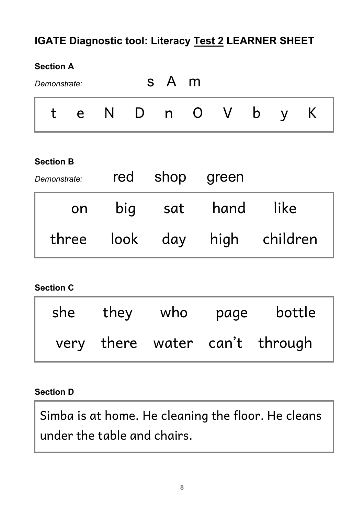# **IGATE Diagnostic tool: Literacy Test 2 LEARNER SHEET**

# **Section A**

| Demonstrate: |     |             | s A m |  |  |  |
|--------------|-----|-------------|-------|--|--|--|
| $\mathbf{t}$ | e e | N D n O V b |       |  |  |  |

## **Section B**

| Demonstrate: |    |     | red shop green |           |                              |
|--------------|----|-----|----------------|-----------|------------------------------|
|              | on | big | sat            | hand like |                              |
|              |    |     |                |           | three look day high children |

## **Section C**

| she  | they | who | page | bottle                    |
|------|------|-----|------|---------------------------|
| very |      |     |      | there water can't through |

# **Section D**

Simba is at home. He cleaning the floor. He cleans under the table and chairs.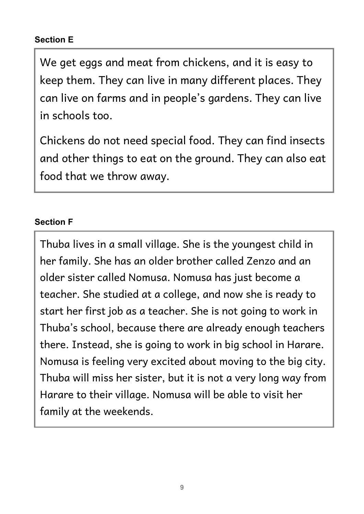We get eggs and meat from chickens, and it is easy to keep them. They can live in many different places. They can live on farms and in people's gardens. They can live in schools too.

Chickens do not need special food. They can find insects and other things to eat on the ground. They can also eat food that we throw away.

# **Section F**

Thuba lives in a small village. She is the youngest child in her family. She has an older brother called Zenzo and an older sister called Nomusa. Nomusa has just become a teacher. She studied at a college, and now she is ready to start her first job as a teacher. She is not going to work in Thuba's school, because there are already enough teachers there. Instead, she is going to work in big school in Harare. Nomusa is feeling very excited about moving to the big city. Thuba will miss her sister, but it is not a very long way from Harare to their village. Nomusa will be able to visit her family at the weekends.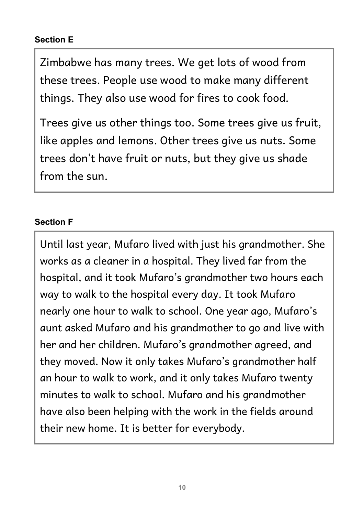Zimbabwe has many trees. We get lots of wood from these trees. People use wood to make many different things. They also use wood for fires to cook food.

Trees give us other things too. Some trees give us fruit, like apples and lemons. Other trees give us nuts. Some trees don't have fruit or nuts, but they give us shade from the sun.

# **Section F**

Until last year, Mufaro lived with just his grandmother. She works as a cleaner in a hospital. They lived far from the hospital, and it took Mufaro's grandmother two hours each way to walk to the hospital every day. It took Mufaro nearly one hour to walk to school. One year ago, Mufaro's aunt asked Mufaro and his grandmother to go and live with her and her children. Mufaro's grandmother agreed, and they moved. Now it only takes Mufaro's grandmother half an hour to walk to work, and it only takes Mufaro twenty minutes to walk to school. Mufaro and his grandmother have also been helping with the work in the fields around their new home. It is better for everybody.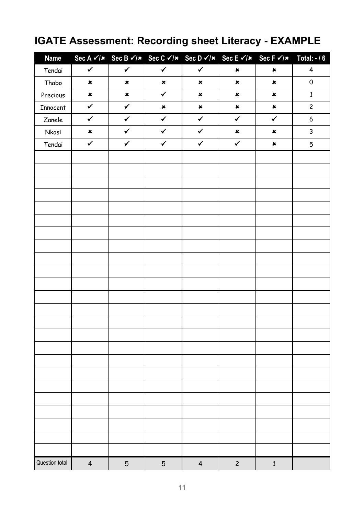# **IGATE Assessment: Recording sheet Literacy - EXAMPLE**

| <b>Name</b>    |                | Sec A $\checkmark$ / $\checkmark$ Sec B $\checkmark$ / $\checkmark$ Sec C $\checkmark$ / $\checkmark$ Sec D $\checkmark$ / $\checkmark$ Sec E $\checkmark$ / $\checkmark$ Sec F $\checkmark$ / $\checkmark$ Total: - / 6 |                |                |                |                |                     |
|----------------|----------------|--------------------------------------------------------------------------------------------------------------------------------------------------------------------------------------------------------------------------|----------------|----------------|----------------|----------------|---------------------|
| Tendai         | $\checkmark$   | $\checkmark$                                                                                                                                                                                                             | $\checkmark$   | $\checkmark$   | $\pmb{\times}$ | $\pmb{\times}$ | $\overline{4}$      |
| Thabo          | $\pmb{\times}$ | $\pmb{\times}$                                                                                                                                                                                                           | $\pmb{\times}$ | $\pmb{\times}$ | $\pmb{\times}$ | $\pmb{\times}$ | $\mathsf{O}\xspace$ |
| Precious       | $\pmb{\times}$ | $\pmb{\times}$                                                                                                                                                                                                           | $\checkmark$   | $\pmb{\times}$ | $\pmb{\times}$ | $\pmb{\times}$ | $\mathbf 1$         |
| Innocent       | $\checkmark$   | $\checkmark$                                                                                                                                                                                                             | $\pmb{\times}$ | $\pmb{\times}$ | $\pmb{\times}$ | $\pmb{\times}$ | $\overline{c}$      |
| Zanele         | $\checkmark$   | $\checkmark$                                                                                                                                                                                                             | $\checkmark$   | $\checkmark$   | $\checkmark$   | $\checkmark$   | $\boldsymbol{6}$    |
| Nkosi          | $\pmb{\times}$ | $\checkmark$                                                                                                                                                                                                             | $\checkmark$   | $\checkmark$   | $\pmb{\times}$ | $\pmb{\times}$ | 3                   |
| Tendai         | $\checkmark$   | $\checkmark$                                                                                                                                                                                                             | $\checkmark$   | $\checkmark$   | $\checkmark$   | $\pmb{\times}$ | 5                   |
|                |                |                                                                                                                                                                                                                          |                |                |                |                |                     |
|                |                |                                                                                                                                                                                                                          |                |                |                |                |                     |
|                |                |                                                                                                                                                                                                                          |                |                |                |                |                     |
|                |                |                                                                                                                                                                                                                          |                |                |                |                |                     |
|                |                |                                                                                                                                                                                                                          |                |                |                |                |                     |
|                |                |                                                                                                                                                                                                                          |                |                |                |                |                     |
|                |                |                                                                                                                                                                                                                          |                |                |                |                |                     |
|                |                |                                                                                                                                                                                                                          |                |                |                |                |                     |
|                |                |                                                                                                                                                                                                                          |                |                |                |                |                     |
|                |                |                                                                                                                                                                                                                          |                |                |                |                |                     |
|                |                |                                                                                                                                                                                                                          |                |                |                |                |                     |
|                |                |                                                                                                                                                                                                                          |                |                |                |                |                     |
|                |                |                                                                                                                                                                                                                          |                |                |                |                |                     |
|                |                |                                                                                                                                                                                                                          |                |                |                |                |                     |
|                |                |                                                                                                                                                                                                                          |                |                |                |                |                     |
|                |                |                                                                                                                                                                                                                          |                |                |                |                |                     |
|                |                |                                                                                                                                                                                                                          |                |                |                |                |                     |
|                |                |                                                                                                                                                                                                                          |                |                |                |                |                     |
|                |                |                                                                                                                                                                                                                          |                |                |                |                |                     |
|                |                |                                                                                                                                                                                                                          |                |                |                |                |                     |
|                |                |                                                                                                                                                                                                                          |                |                |                |                |                     |
|                |                |                                                                                                                                                                                                                          |                |                |                |                |                     |
|                |                |                                                                                                                                                                                                                          |                |                |                |                |                     |
|                |                |                                                                                                                                                                                                                          |                |                |                |                |                     |
|                |                |                                                                                                                                                                                                                          |                |                |                |                |                     |
| Question total | $\overline{4}$ | $\mathbf 5$                                                                                                                                                                                                              | $\mathbf 5$    | $\overline{4}$ | $\overline{c}$ | $\mathbf 1$    |                     |